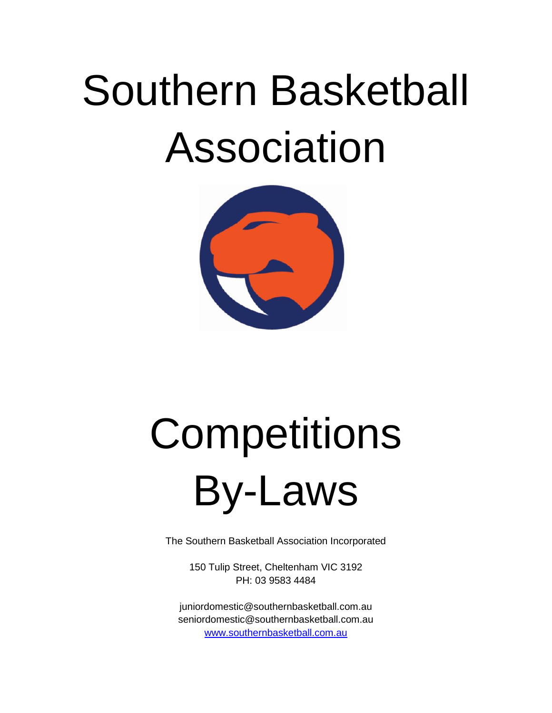# Southern Basketball Association



# **Competitions** By-Laws

The Southern Basketball Association Incorporated

150 Tulip Street, Cheltenham VIC 3192 PH: 03 9583 4484

juniordomestic@southernbasketball.com.au seniordomestic@southernbasketball.com.au [www.southernbasketball.com.au](http://www.southernbasketball.com.au/)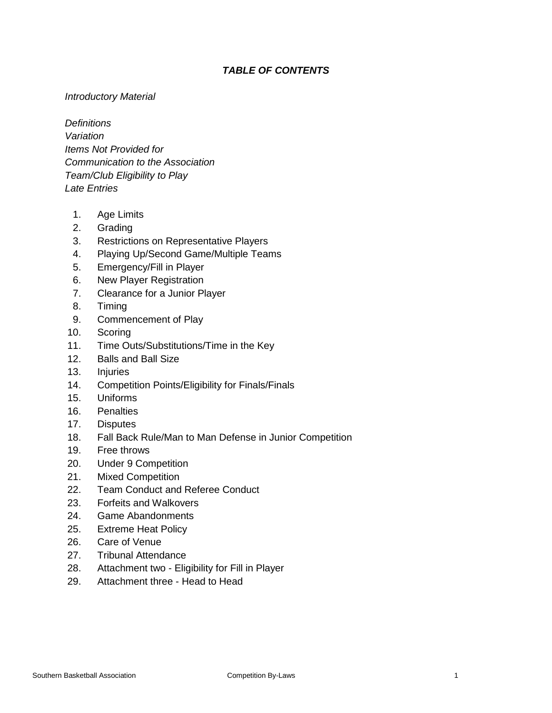# *TABLE OF CONTENTS*

# *Introductory Material*

*Definitions Variation Items Not Provided for Communication to the Association Team/Club Eligibility to Play Late Entries*

- 1. Age Limits
- 2. Grading
- 3. Restrictions on Representative Players
- 4. Playing Up/Second Game/Multiple Teams
- 5. Emergency/Fill in Player
- 6. New Player Registration
- 7. Clearance for a Junior Player
- 8. Timing
- 9. Commencement of Play
- 10. Scoring
- 11. Time Outs/Substitutions/Time in the Key
- 12. Balls and Ball Size
- 13. Injuries
- 14. Competition Points/Eligibility for Finals/Finals
- 15. Uniforms
- 16. Penalties
- 17. Disputes
- 18. Fall Back Rule/Man to Man Defense in Junior Competition
- 19. Free throws
- 20. Under 9 Competition
- 21. Mixed Competition
- 22. Team Conduct and Referee Conduct
- 23. Forfeits and Walkovers
- 24. Game Abandonments
- 25. Extreme Heat Policy
- 26. Care of Venue
- 27. Tribunal Attendance
- 28. Attachment two Eligibility for Fill in Player
- 29. Attachment three Head to Head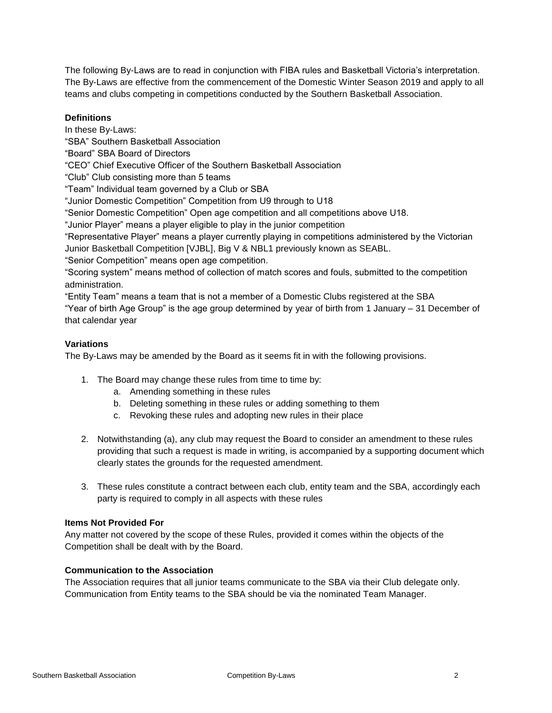The following By-Laws are to read in conjunction with FIBA rules and Basketball Victoria's interpretation. The By-Laws are effective from the commencement of the Domestic Winter Season 2019 and apply to all teams and clubs competing in competitions conducted by the Southern Basketball Association.

# **Definitions**

In these By-Laws: "SBA" Southern Basketball Association "Board" SBA Board of Directors "CEO" Chief Executive Officer of the Southern Basketball Association "Club" Club consisting more than 5 teams "Team" Individual team governed by a Club or SBA "Junior Domestic Competition" Competition from U9 through to U18 "Senior Domestic Competition" Open age competition and all competitions above U18. "Junior Player" means a player eligible to play in the junior competition "Representative Player" means a player currently playing in competitions administered by the Victorian Junior Basketball Competition [VJBL], Big V & NBL1 previously known as SEABL. "Senior Competition" means open age competition. "Scoring system" means method of collection of match scores and fouls, submitted to the competition administration. "Entity Team" means a team that is not a member of a Domestic Clubs registered at the SBA

"Year of birth Age Group" is the age group determined by year of birth from 1 January – 31 December of that calendar year

# **Variations**

The By-Laws may be amended by the Board as it seems fit in with the following provisions.

- 1. The Board may change these rules from time to time by:
	- a. Amending something in these rules
	- b. Deleting something in these rules or adding something to them
	- c. Revoking these rules and adopting new rules in their place
- 2. Notwithstanding (a), any club may request the Board to consider an amendment to these rules providing that such a request is made in writing, is accompanied by a supporting document which clearly states the grounds for the requested amendment.
- 3. These rules constitute a contract between each club, entity team and the SBA, accordingly each party is required to comply in all aspects with these rules

#### **Items Not Provided For**

Any matter not covered by the scope of these Rules, provided it comes within the objects of the Competition shall be dealt with by the Board.

# **Communication to the Association**

The Association requires that all junior teams communicate to the SBA via their Club delegate only. Communication from Entity teams to the SBA should be via the nominated Team Manager.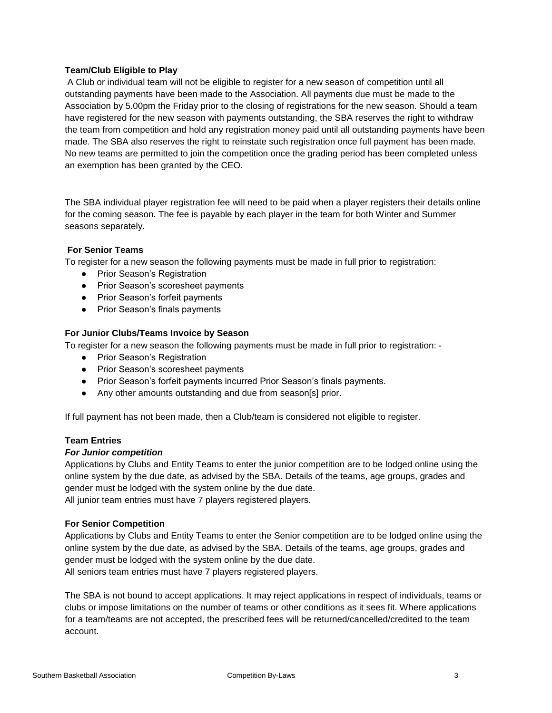# **Team/Club Eligible to Play**

A Club or individual team will not be eligible to register for a new season of competition until all outstanding payments have been made to the Association. All payments due must be made to the Association by 5.00pm the Friday prior to the closing of registrations for the new season. Should a team have registered for the new season with payments outstanding, the SBA reserves the right to withdraw the team from competition and hold any registration money paid until all outstanding payments have been made. The SBA also reserves the right to reinstate such registration once full payment has been made. No new teams are permitted to join the competition once the grading period has been completed unless an exemption has been granted by the CEO.

The SBA individual player registration fee will need to be paid when a player registers their details online for the coming season. The fee is payable by each player in the team for both Winter and Summer seasons separately.

#### **For Senior Teams**

To register for a new season the following payments must be made in full prior to registration:

- Prior Season's Registration
- Prior Season's scoresheet payments
- Prior Season's forfeit payments
- Prior Season's finals payments

#### **For Junior Clubs/Teams Invoice by Season**

To register for a new season the following payments must be made in full prior to registration: ‐

- Prior Season's Registration
- Prior Season's scoresheet payments
- Prior Season's forfeit payments incurred Prior Season's finals payments.
- Any other amounts outstanding and due from season[s] prior.

If full payment has not been made, then a Club/team is considered not eligible to register.

# **Team Entries**

#### *For Junior competition*

Applications by Clubs and Entity Teams to enter the junior competition are to be lodged online using the online system by the due date, as advised by the SBA. Details of the teams, age groups, grades and gender must be lodged with the system online by the due date. All junior team entries must have 7 players registered players.

# **For Senior Competition**

Applications by Clubs and Entity Teams to enter the Senior competition are to be lodged online using the online system by the due date, as advised by the SBA. Details of the teams, age groups, grades and gender must be lodged with the system online by the due date. All seniors team entries must have 7 players registered players.

The SBA is not bound to accept applications. It may reject applications in respect of individuals, teams or clubs or impose limitations on the number of teams or other conditions as it sees fit. Where applications for a team/teams are not accepted, the prescribed fees will be returned/cancelled/credited to the team account.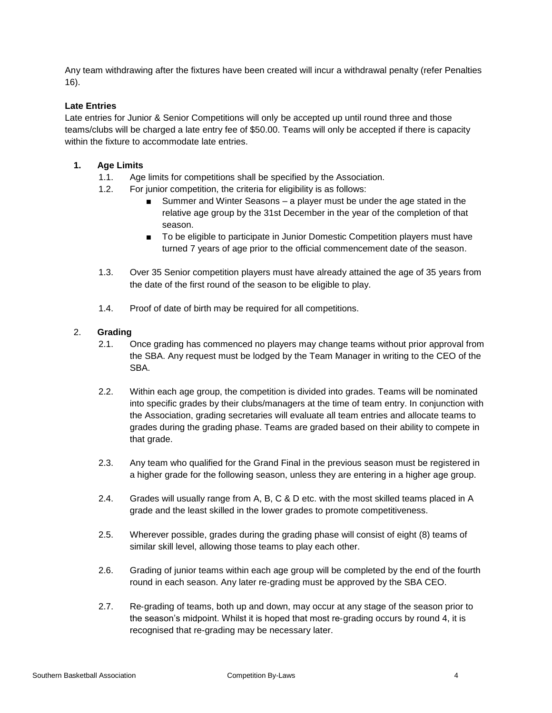Any team withdrawing after the fixtures have been created will incur a withdrawal penalty (refer Penalties 16).

# **Late Entries**

Late entries for Junior & Senior Competitions will only be accepted up until round three and those teams/clubs will be charged a late entry fee of \$50.00. Teams will only be accepted if there is capacity within the fixture to accommodate late entries.

# **1. Age Limits**

- 1.1. Age limits for competitions shall be specified by the Association.
- 1.2. For junior competition, the criteria for eligibility is as follows:
	- Summer and Winter Seasons a player must be under the age stated in the relative age group by the 31st December in the year of the completion of that season.
	- To be eligible to participate in Junior Domestic Competition players must have turned 7 years of age prior to the official commencement date of the season.
- 1.3. Over 35 Senior competition players must have already attained the age of 35 years from the date of the first round of the season to be eligible to play.
- 1.4. Proof of date of birth may be required for all competitions.

# 2. **Grading**

- 2.1. Once grading has commenced no players may change teams without prior approval from the SBA. Any request must be lodged by the Team Manager in writing to the CEO of the SBA.
- 2.2. Within each age group, the competition is divided into grades. Teams will be nominated into specific grades by their clubs/managers at the time of team entry. In conjunction with the Association, grading secretaries will evaluate all team entries and allocate teams to grades during the grading phase. Teams are graded based on their ability to compete in that grade.
- 2.3. Any team who qualified for the Grand Final in the previous season must be registered in a higher grade for the following season, unless they are entering in a higher age group.
- 2.4. Grades will usually range from A, B, C & D etc. with the most skilled teams placed in A grade and the least skilled in the lower grades to promote competitiveness.
- 2.5. Wherever possible, grades during the grading phase will consist of eight (8) teams of similar skill level, allowing those teams to play each other.
- 2.6. Grading of junior teams within each age group will be completed by the end of the fourth round in each season. Any later re‐grading must be approved by the SBA CEO.
- 2.7. Re‐grading of teams, both up and down, may occur at any stage of the season prior to the season's midpoint. Whilst it is hoped that most re‐grading occurs by round 4, it is recognised that re-grading may be necessary later.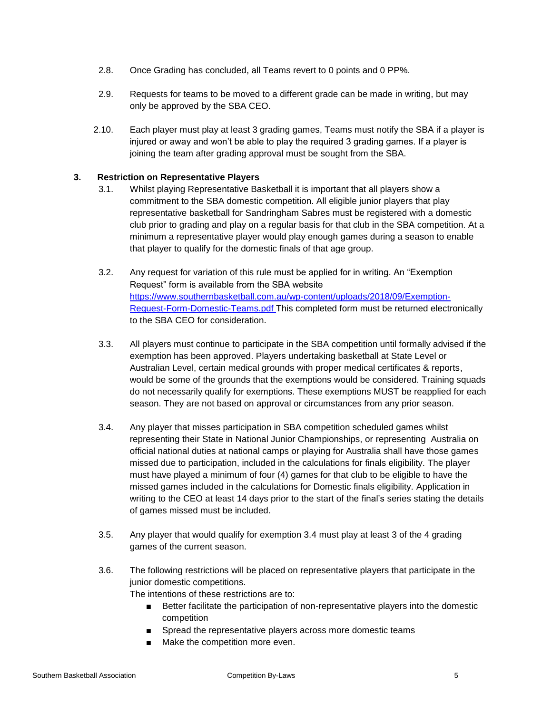- 2.8. Once Grading has concluded, all Teams revert to 0 points and 0 PP%.
- 2.9. Requests for teams to be moved to a different grade can be made in writing, but may only be approved by the SBA CEO.
- 2.10. Each player must play at least 3 grading games, Teams must notify the SBA if a player is injured or away and won't be able to play the required 3 grading games. If a player is joining the team after grading approval must be sought from the SBA.

#### **3. Restriction on Representative Players**

- 3.1. Whilst playing Representative Basketball it is important that all players show a commitment to the SBA domestic competition. All eligible junior players that play representative basketball for Sandringham Sabres must be registered with a domestic club prior to grading and play on a regular basis for that club in the SBA competition. At a minimum a representative player would play enough games during a season to enable that player to qualify for the domestic finals of that age group.
- 3.2. Any request for variation of this rule must be applied for in writing. An "Exemption Request" form is available from the SBA website [https://www.southernbasketball.com.au/wp-content/uploads/2018/09/Exemption-](https://www.southernbasketball.com.au/wp-content/uploads/2018/09/Exemption-Request-Form-Domestic-Teams.pdf)[Request-Form-Domestic-Teams.pdf](https://www.southernbasketball.com.au/wp-content/uploads/2018/09/Exemption-Request-Form-Domestic-Teams.pdf) This completed form must be returned electronically to the SBA CEO for consideration.
- 3.3. All players must continue to participate in the SBA competition until formally advised if the exemption has been approved. Players undertaking basketball at State Level or Australian Level, certain medical grounds with proper medical certificates & reports, would be some of the grounds that the exemptions would be considered. Training squads do not necessarily qualify for exemptions. These exemptions MUST be reapplied for each season. They are not based on approval or circumstances from any prior season.
- 3.4. Any player that misses participation in SBA competition scheduled games whilst representing their State in National Junior Championships, or representing Australia on official national duties at national camps or playing for Australia shall have those games missed due to participation, included in the calculations for finals eligibility. The player must have played a minimum of four (4) games for that club to be eligible to have the missed games included in the calculations for Domestic finals eligibility. Application in writing to the CEO at least 14 days prior to the start of the final's series stating the details of games missed must be included.
- 3.5. Any player that would qualify for exemption 3.4 must play at least 3 of the 4 grading games of the current season.
- 3.6. The following restrictions will be placed on representative players that participate in the junior domestic competitions.

The intentions of these restrictions are to:

- Better facilitate the participation of non-representative players into the domestic competition
- Spread the representative players across more domestic teams
- Make the competition more even.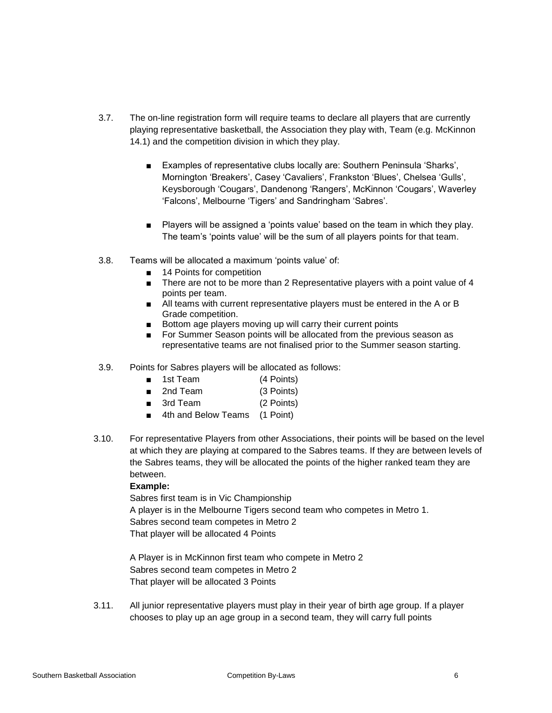- 3.7. The on-line registration form will require teams to declare all players that are currently playing representative basketball, the Association they play with, Team (e.g. McKinnon 14.1) and the competition division in which they play.
	- Examples of representative clubs locally are: Southern Peninsula 'Sharks', Mornington 'Breakers', Casey 'Cavaliers', Frankston 'Blues', Chelsea 'Gulls', Keysborough 'Cougars', Dandenong 'Rangers', McKinnon 'Cougars', Waverley 'Falcons', Melbourne 'Tigers' and Sandringham 'Sabres'.
	- Players will be assigned a 'points value' based on the team in which they play. The team's 'points value' will be the sum of all players points for that team.
- 3.8. Teams will be allocated a maximum 'points value' of:
	- 14 Points for competition
	- There are not to be more than 2 Representative players with a point value of 4 points per team.
	- All teams with current representative players must be entered in the A or B Grade competition.
	- Bottom age players moving up will carry their current points
	- For Summer Season points will be allocated from the previous season as representative teams are not finalised prior to the Summer season starting.
- 3.9. Points for Sabres players will be allocated as follows:
	- 1st Team (4 Points)
	- 2nd Team (3 Points)
	- 3rd Team (2 Points)
	- 4th and Below Teams (1 Point)
- 3.10. For representative Players from other Associations, their points will be based on the level at which they are playing at compared to the Sabres teams. If they are between levels of the Sabres teams, they will be allocated the points of the higher ranked team they are between.

#### **Example:**

Sabres first team is in Vic Championship A player is in the Melbourne Tigers second team who competes in Metro 1. Sabres second team competes in Metro 2 That player will be allocated 4 Points

A Player is in McKinnon first team who compete in Metro 2 Sabres second team competes in Metro 2 That player will be allocated 3 Points

3.11. All junior representative players must play in their year of birth age group. If a player chooses to play up an age group in a second team, they will carry full points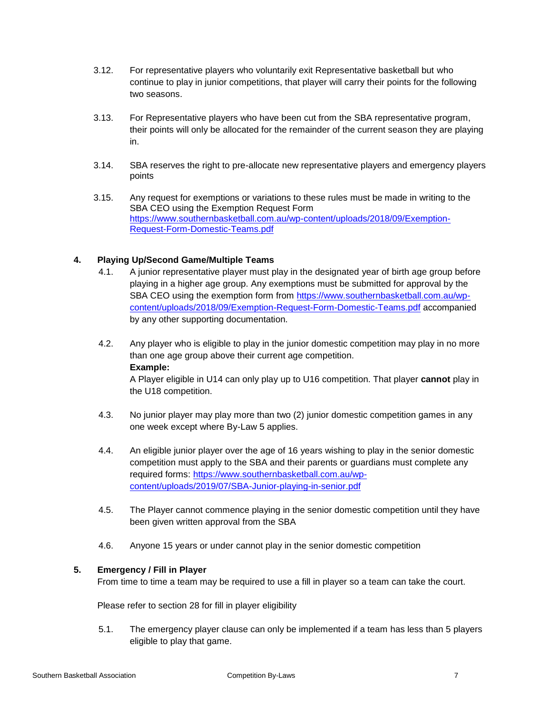- 3.12. For representative players who voluntarily exit Representative basketball but who continue to play in junior competitions, that player will carry their points for the following two seasons.
- 3.13. For Representative players who have been cut from the SBA representative program, their points will only be allocated for the remainder of the current season they are playing in.
- 3.14. SBA reserves the right to pre-allocate new representative players and emergency players points
- 3.15. Any request for exemptions or variations to these rules must be made in writing to the SBA CEO using the Exemption Request Form [https://www.southernbasketball.com.au/wp-content/uploads/2018/09/Exemption-](https://www.southernbasketball.com.au/wp-content/uploads/2018/09/Exemption-Request-Form-Domestic-Teams.pdf)[Request-Form-Domestic-Teams.pdf](https://www.southernbasketball.com.au/wp-content/uploads/2018/09/Exemption-Request-Form-Domestic-Teams.pdf)

# **4. Playing Up/Second Game/Multiple Teams**

- 4.1. A junior representative player must play in the designated year of birth age group before playing in a higher age group. Any exemptions must be submitted for approval by the SBA CEO using the exemption form from [https://www.southernbasketball.com.au/wp](https://www.southernbasketball.com.au/wp-content/uploads/2018/09/Exemption-Request-Form-Domestic-Teams.pdf)[content/uploads/2018/09/Exemption-Request-Form-Domestic-Teams.pdf](https://www.southernbasketball.com.au/wp-content/uploads/2018/09/Exemption-Request-Form-Domestic-Teams.pdf) accompanied by any other supporting documentation.
- 4.2. Any player who is eligible to play in the junior domestic competition may play in no more than one age group above their current age competition. **Example:**

A Player eligible in U14 can only play up to U16 competition. That player **cannot** play in the U18 competition.

- 4.3. No junior player may play more than two (2) junior domestic competition games in any one week except where By-Law 5 applies.
- 4.4. An eligible junior player over the age of 16 years wishing to play in the senior domestic competition must apply to the SBA and their parents or guardians must complete any required forms: [https://www.southernbasketball.com.au/wp](https://www.southernbasketball.com.au/wp-content/uploads/2019/07/SBA-Junior-playing-in-senior.pdf)[content/uploads/2019/07/SBA-Junior-playing-in-senior.pdf](https://www.southernbasketball.com.au/wp-content/uploads/2019/07/SBA-Junior-playing-in-senior.pdf)
- 4.5. The Player cannot commence playing in the senior domestic competition until they have been given written approval from the SBA
- 4.6. Anyone 15 years or under cannot play in the senior domestic competition

# **5. Emergency / Fill in Player**

From time to time a team may be required to use a fill in player so a team can take the court.

Please refer to section 28 for fill in player eligibility

5.1. The emergency player clause can only be implemented if a team has less than 5 players eligible to play that game.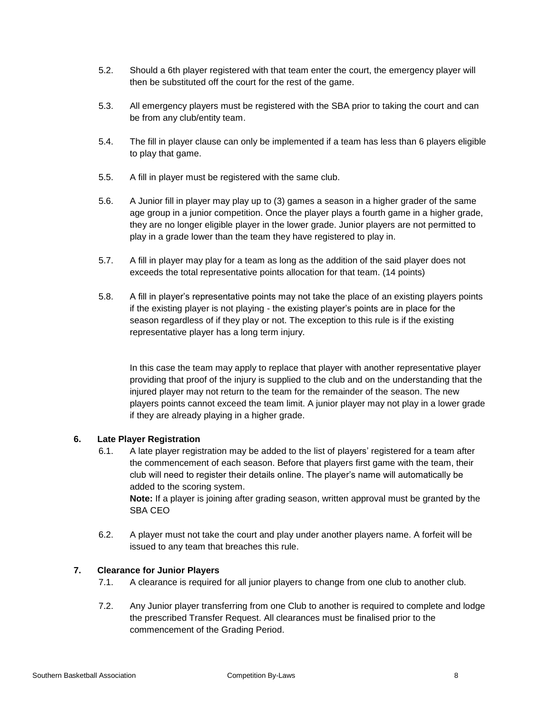- 5.2. Should a 6th player registered with that team enter the court, the emergency player will then be substituted off the court for the rest of the game.
- 5.3. All emergency players must be registered with the SBA prior to taking the court and can be from any club/entity team.
- 5.4. The fill in player clause can only be implemented if a team has less than 6 players eligible to play that game.
- 5.5. A fill in player must be registered with the same club.
- 5.6. A Junior fill in player may play up to (3) games a season in a higher grader of the same age group in a junior competition. Once the player plays a fourth game in a higher grade, they are no longer eligible player in the lower grade. Junior players are not permitted to play in a grade lower than the team they have registered to play in.
- 5.7. A fill in player may play for a team as long as the addition of the said player does not exceeds the total representative points allocation for that team. (14 points)
- 5.8. A fill in player's representative points may not take the place of an existing players points if the existing player is not playing - the existing player's points are in place for the season regardless of if they play or not. The exception to this rule is if the existing representative player has a long term injury.

In this case the team may apply to replace that player with another representative player providing that proof of the injury is supplied to the club and on the understanding that the injured player may not return to the team for the remainder of the season. The new players points cannot exceed the team limit. A junior player may not play in a lower grade if they are already playing in a higher grade.

# **6. Late Player Registration**

6.1. A late player registration may be added to the list of players' registered for a team after the commencement of each season. Before that players first game with the team, their club will need to register their details online. The player's name will automatically be added to the scoring system.

**Note:** If a player is joining after grading season, written approval must be granted by the SBA CEO

6.2. A player must not take the court and play under another players name. A forfeit will be issued to any team that breaches this rule.

# **7. Clearance for Junior Players**

- 7.1. A clearance is required for all junior players to change from one club to another club.
- 7.2. Any Junior player transferring from one Club to another is required to complete and lodge the prescribed Transfer Request. All clearances must be finalised prior to the commencement of the Grading Period.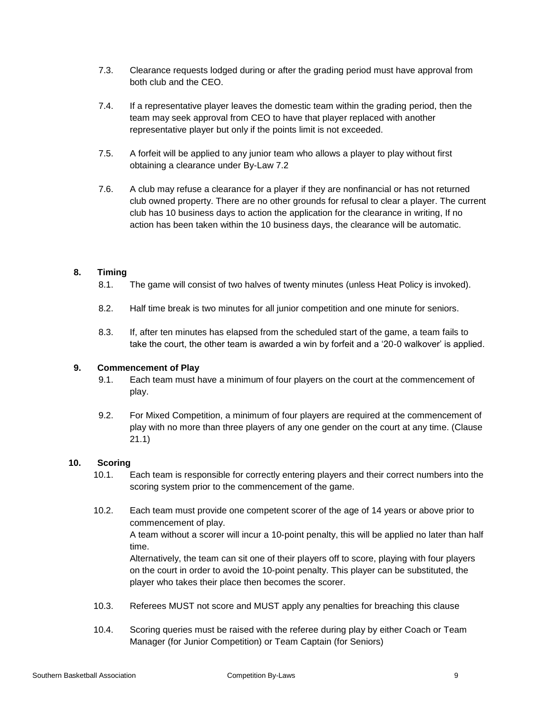- 7.3. Clearance requests lodged during or after the grading period must have approval from both club and the CEO.
- 7.4. If a representative player leaves the domestic team within the grading period, then the team may seek approval from CEO to have that player replaced with another representative player but only if the points limit is not exceeded.
- 7.5. A forfeit will be applied to any junior team who allows a player to play without first obtaining a clearance under By-Law 7.2
- 7.6. A club may refuse a clearance for a player if they are nonfinancial or has not returned club owned property. There are no other grounds for refusal to clear a player. The current club has 10 business days to action the application for the clearance in writing, If no action has been taken within the 10 business days, the clearance will be automatic.

# **8. Timing**

- 8.1. The game will consist of two halves of twenty minutes (unless Heat Policy is invoked).
- 8.2. Half time break is two minutes for all junior competition and one minute for seniors.
- 8.3. If, after ten minutes has elapsed from the scheduled start of the game, a team fails to take the court, the other team is awarded a win by forfeit and a '20-0 walkover' is applied.

# **9. Commencement of Play**

- 9.1. Each team must have a minimum of four players on the court at the commencement of play.
- 9.2. For Mixed Competition, a minimum of four players are required at the commencement of play with no more than three players of any one gender on the court at any time. (Clause 21.1)

# **10. Scoring**

- 10.1. Each team is responsible for correctly entering players and their correct numbers into the scoring system prior to the commencement of the game.
- 10.2. Each team must provide one competent scorer of the age of 14 years or above prior to commencement of play. A team without a scorer will incur a 10-point penalty, this will be applied no later than half time. Alternatively, the team can sit one of their players off to score, playing with four players

on the court in order to avoid the 10-point penalty. This player can be substituted, the player who takes their place then becomes the scorer.

- 10.3. Referees MUST not score and MUST apply any penalties for breaching this clause
- 10.4. Scoring queries must be raised with the referee during play by either Coach or Team Manager (for Junior Competition) or Team Captain (for Seniors)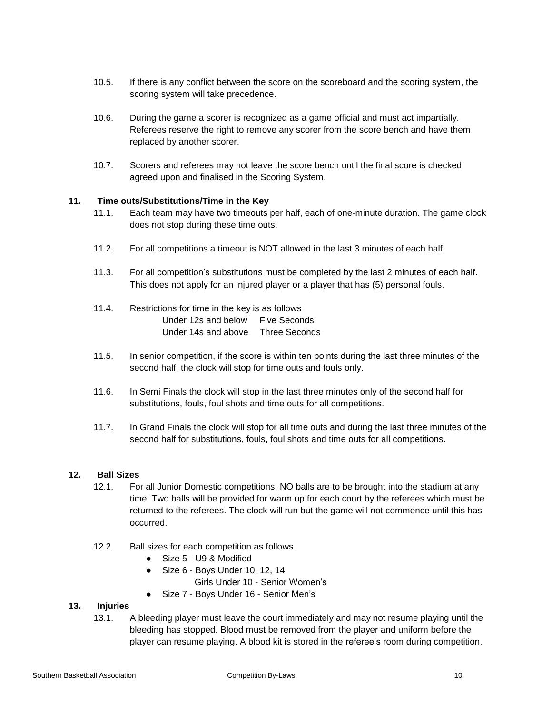- 10.5. If there is any conflict between the score on the scoreboard and the scoring system, the scoring system will take precedence.
- 10.6. During the game a scorer is recognized as a game official and must act impartially. Referees reserve the right to remove any scorer from the score bench and have them replaced by another scorer.
- 10.7. Scorers and referees may not leave the score bench until the final score is checked, agreed upon and finalised in the Scoring System.

#### **11. Time outs/Substitutions/Time in the Key**

- 11.1. Each team may have two timeouts per half, each of one-minute duration. The game clock does not stop during these time outs.
- 11.2. For all competitions a timeout is NOT allowed in the last 3 minutes of each half.
- 11.3. For all competition's substitutions must be completed by the last 2 minutes of each half. This does not apply for an injured player or a player that has (5) personal fouls.
- 11.4. Restrictions for time in the key is as follows Under 12s and below Five Seconds Under 14s and above Three Seconds
- 11.5. In senior competition, if the score is within ten points during the last three minutes of the second half, the clock will stop for time outs and fouls only.
- 11.6. In Semi Finals the clock will stop in the last three minutes only of the second half for substitutions, fouls, foul shots and time outs for all competitions.
- 11.7. In Grand Finals the clock will stop for all time outs and during the last three minutes of the second half for substitutions, fouls, foul shots and time outs for all competitions.

#### **12. Ball Sizes**

- 12.1. For all Junior Domestic competitions, NO balls are to be brought into the stadium at any time. Two balls will be provided for warm up for each court by the referees which must be returned to the referees. The clock will run but the game will not commence until this has occurred.
- 12.2. Ball sizes for each competition as follows.
	- Size 5 U9 & Modified
	- Size 6 Boys Under 10, 12, 14
		- Girls Under 10 Senior Women's
	- Size 7 Boys Under 16 Senior Men's

#### **13. Injuries**

13.1. A bleeding player must leave the court immediately and may not resume playing until the bleeding has stopped. Blood must be removed from the player and uniform before the player can resume playing. A blood kit is stored in the referee's room during competition.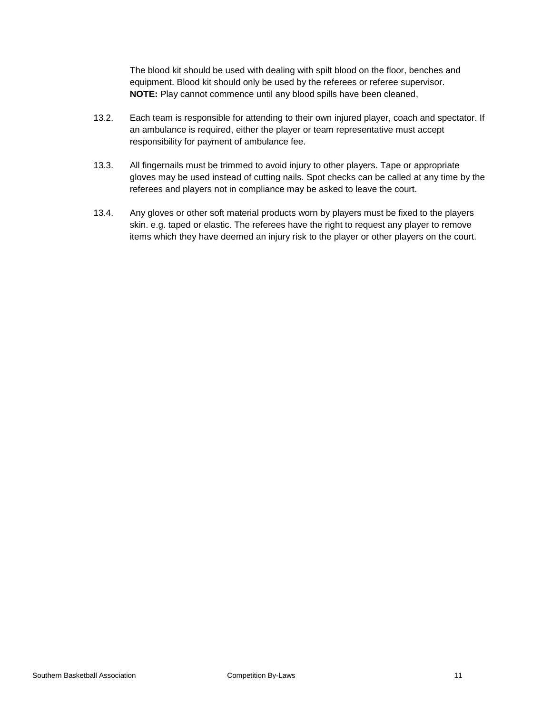The blood kit should be used with dealing with spilt blood on the floor, benches and equipment. Blood kit should only be used by the referees or referee supervisor. **NOTE:** Play cannot commence until any blood spills have been cleaned,

- 13.2. Each team is responsible for attending to their own injured player, coach and spectator. If an ambulance is required, either the player or team representative must accept responsibility for payment of ambulance fee.
- 13.3. All fingernails must be trimmed to avoid injury to other players. Tape or appropriate gloves may be used instead of cutting nails. Spot checks can be called at any time by the referees and players not in compliance may be asked to leave the court.
- 13.4. Any gloves or other soft material products worn by players must be fixed to the players skin. e.g. taped or elastic. The referees have the right to request any player to remove items which they have deemed an injury risk to the player or other players on the court.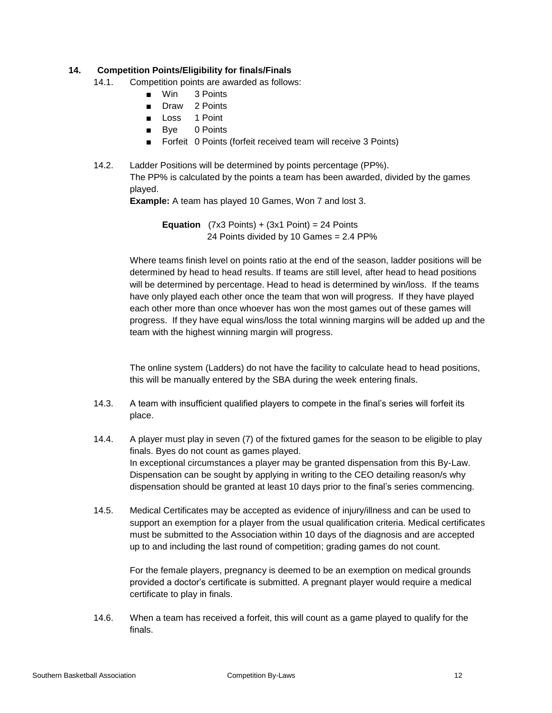# **14. Competition Points/Eligibility for finals/Finals**

- 14.1. Competition points are awarded as follows:
	- Win 3 Points
	- Draw 2 Points
	- Loss 1 Point
	- Bye 0 Points
	- Forfeit 0 Points (forfeit received team will receive 3 Points)
- 14.2. Ladder Positions will be determined by points percentage (PP%). The PP% is calculated by the points a team has been awarded, divided by the games played.

**Example:** A team has played 10 Games, Won 7 and lost 3.

**Equation**  $(7x3$  Points) +  $(3x1$  Point) = 24 Points 24 Points divided by 10 Games = 2.4 PP%

Where teams finish level on points ratio at the end of the season, ladder positions will be determined by head to head results. If teams are still level, after head to head positions will be determined by percentage. Head to head is determined by win/loss. If the teams have only played each other once the team that won will progress. If they have played each other more than once whoever has won the most games out of these games will progress. If they have equal wins/loss the total winning margins will be added up and the team with the highest winning margin will progress.

The online system (Ladders) do not have the facility to calculate head to head positions, this will be manually entered by the SBA during the week entering finals.

- 14.3. A team with insufficient qualified players to compete in the final's series will forfeit its place.
- 14.4. A player must play in seven (7) of the fixtured games for the season to be eligible to play finals. Byes do not count as games played. In exceptional circumstances a player may be granted dispensation from this By-Law. Dispensation can be sought by applying in writing to the CEO detailing reason/s why dispensation should be granted at least 10 days prior to the final's series commencing.
- 14.5. Medical Certificates may be accepted as evidence of injury/illness and can be used to support an exemption for a player from the usual qualification criteria. Medical certificates must be submitted to the Association within 10 days of the diagnosis and are accepted up to and including the last round of competition; grading games do not count.

For the female players, pregnancy is deemed to be an exemption on medical grounds provided a doctor's certificate is submitted. A pregnant player would require a medical certificate to play in finals.

14.6. When a team has received a forfeit, this will count as a game played to qualify for the finals.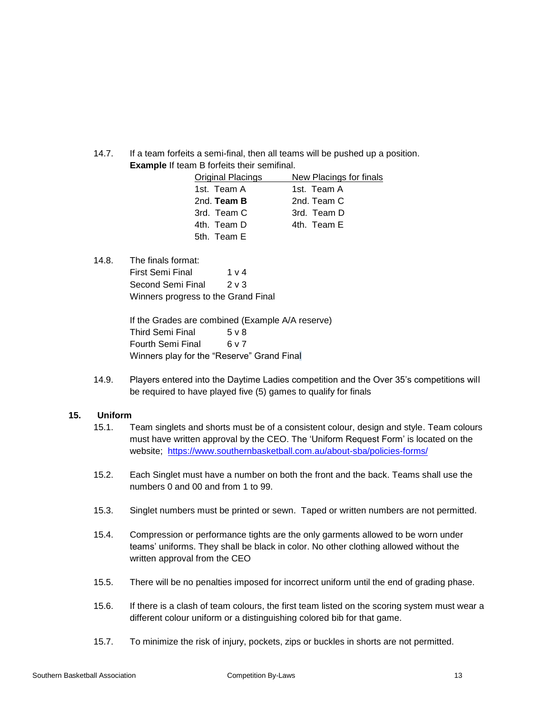14.7. If a team forfeits a semi-final, then all teams will be pushed up a position. **Example** If team B forfeits their semifinal.

| <b>Original Placings</b> | New Placings for finals |
|--------------------------|-------------------------|
| 1st. Team A              | 1st. Team A             |
| 2nd. Team B              | 2nd. Team C             |
| 3rd. Team C              | 3rd. Team D             |
| 4th. Team D              | 4th Team E              |
| 5th. Team E              |                         |

14.8. The finals format:

First Semi Final 1 v 4 Second Semi Final 2 v 3 Winners progress to the Grand Final

If the Grades are combined (Example A/A reserve) Third Semi Final 5 v 8 Fourth Semi Final 6 v 7 Winners play for the "Reserve" Grand Final

14.9. Players entered into the Daytime Ladies competition and the Over 35's competitions will be required to have played five (5) games to qualify for finals

# **15. Uniform**

- 15.1. Team singlets and shorts must be of a consistent colour, design and style. Team colours must have written approval by the CEO. The 'Uniform Request Form' is located on the website; https://www.southernbasketball.com.au/about-sba/policies-forms/
- 15.2. Each Singlet must have a number on both the front and the back. Teams shall use the numbers 0 and 00 and from 1 to 99.
- 15.3. Singlet numbers must be printed or sewn. Taped or written numbers are not permitted.
- 15.4. Compression or performance tights are the only garments allowed to be worn under teams' uniforms. They shall be black in color. No other clothing allowed without the written approval from the CEO
- 15.5. There will be no penalties imposed for incorrect uniform until the end of grading phase.
- 15.6. If there is a clash of team colours, the first team listed on the scoring system must wear a different colour uniform or a distinguishing colored bib for that game.
- 15.7. To minimize the risk of injury, pockets, zips or buckles in shorts are not permitted.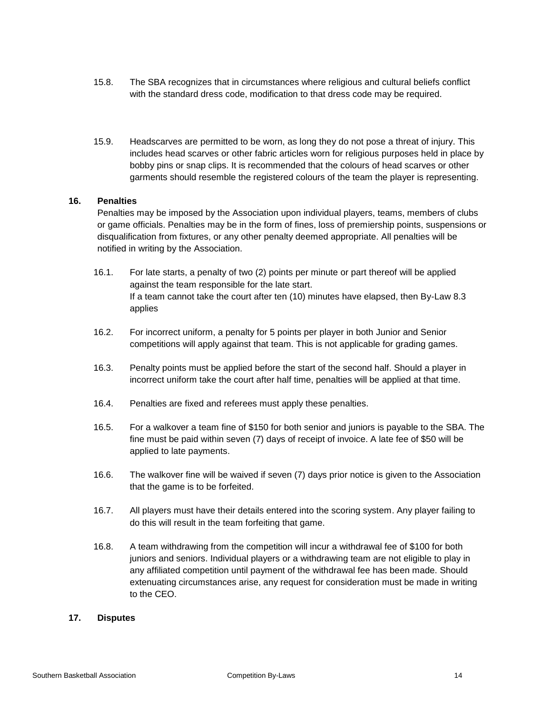- 15.8. The SBA recognizes that in circumstances where religious and cultural beliefs conflict with the standard dress code, modification to that dress code may be required.
- 15.9. Headscarves are permitted to be worn, as long they do not pose a threat of injury. This includes head scarves or other fabric articles worn for religious purposes held in place by bobby pins or snap clips. It is recommended that the colours of head scarves or other garments should resemble the registered colours of the team the player is representing.

#### **16. Penalties**

Penalties may be imposed by the Association upon individual players, teams, members of clubs or game officials. Penalties may be in the form of fines, loss of premiership points, suspensions or disqualification from fixtures, or any other penalty deemed appropriate. All penalties will be notified in writing by the Association.

- 16.1. For late starts, a penalty of two (2) points per minute or part thereof will be applied against the team responsible for the late start. If a team cannot take the court after ten (10) minutes have elapsed, then By-Law 8.3 applies
- 16.2. For incorrect uniform, a penalty for 5 points per player in both Junior and Senior competitions will apply against that team. This is not applicable for grading games.
- 16.3. Penalty points must be applied before the start of the second half. Should a player in incorrect uniform take the court after half time, penalties will be applied at that time.
- 16.4. Penalties are fixed and referees must apply these penalties.
- 16.5. For a walkover a team fine of \$150 for both senior and juniors is payable to the SBA. The fine must be paid within seven (7) days of receipt of invoice. A late fee of \$50 will be applied to late payments.
- 16.6. The walkover fine will be waived if seven (7) days prior notice is given to the Association that the game is to be forfeited.
- 16.7. All players must have their details entered into the scoring system. Any player failing to do this will result in the team forfeiting that game.
- 16.8. A team withdrawing from the competition will incur a withdrawal fee of \$100 for both juniors and seniors. Individual players or a withdrawing team are not eligible to play in any affiliated competition until payment of the withdrawal fee has been made. Should extenuating circumstances arise, any request for consideration must be made in writing to the CEO.

#### **17. Disputes**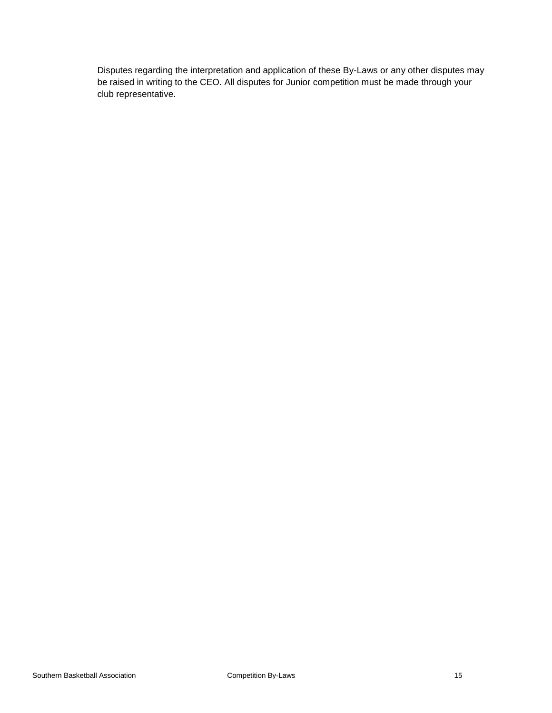Disputes regarding the interpretation and application of these By-Laws or any other disputes may be raised in writing to the CEO. All disputes for Junior competition must be made through your club representative.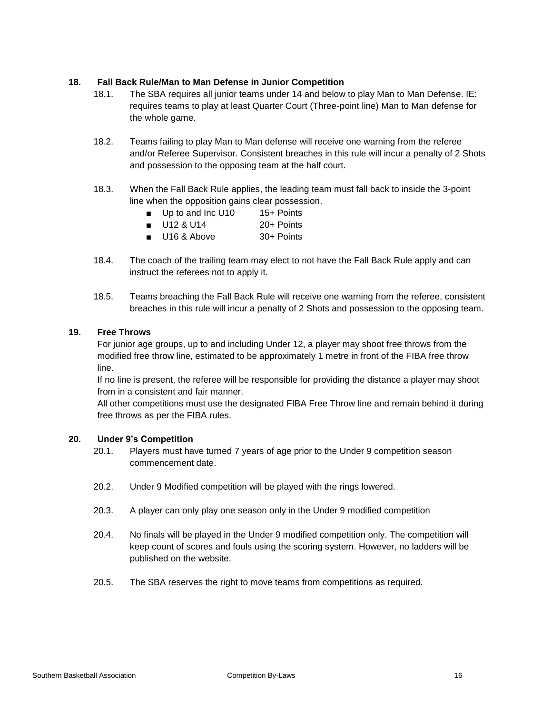# **18. Fall Back Rule/Man to Man Defense in Junior Competition**

- 18.1. The SBA requires all junior teams under 14 and below to play Man to Man Defense. IE: requires teams to play at least Quarter Court (Three-point line) Man to Man defense for the whole game.
- 18.2. Teams failing to play Man to Man defense will receive one warning from the referee and/or Referee Supervisor. Consistent breaches in this rule will incur a penalty of 2 Shots and possession to the opposing team at the half court.
- 18.3. When the Fall Back Rule applies, the leading team must fall back to inside the 3-point line when the opposition gains clear possession.
	- Up to and Inc U10 15+ Points
	- U12 & U14 20+ Points
	- U16 & Above 30+ Points
- 18.4. The coach of the trailing team may elect to not have the Fall Back Rule apply and can instruct the referees not to apply it.
- 18.5. Teams breaching the Fall Back Rule will receive one warning from the referee, consistent breaches in this rule will incur a penalty of 2 Shots and possession to the opposing team.

# **19. Free Throws**

For junior age groups, up to and including Under 12, a player may shoot free throws from the modified free throw line, estimated to be approximately 1 metre in front of the FIBA free throw line.

If no line is present, the referee will be responsible for providing the distance a player may shoot from in a consistent and fair manner.

All other competitions must use the designated FIBA Free Throw line and remain behind it during free throws as per the FIBA rules.

#### **20. Under 9's Competition**

- 20.1. Players must have turned 7 years of age prior to the Under 9 competition season commencement date.
- 20.2. Under 9 Modified competition will be played with the rings lowered.
- 20.3. A player can only play one season only in the Under 9 modified competition
- 20.4. No finals will be played in the Under 9 modified competition only. The competition will keep count of scores and fouls using the scoring system. However, no ladders will be published on the website.
- 20.5. The SBA reserves the right to move teams from competitions as required.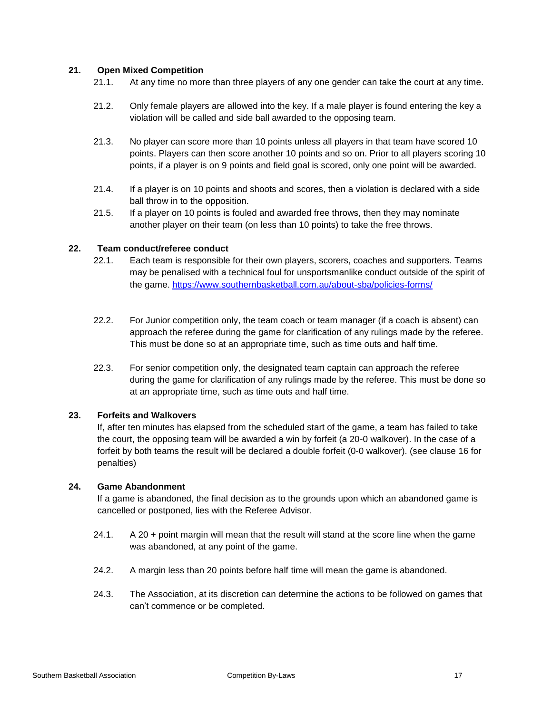# **21. Open Mixed Competition**

- 21.1. At any time no more than three players of any one gender can take the court at any time.
- 21.2. Only female players are allowed into the key. If a male player is found entering the key a violation will be called and side ball awarded to the opposing team.
- 21.3. No player can score more than 10 points unless all players in that team have scored 10 points. Players can then score another 10 points and so on. Prior to all players scoring 10 points, if a player is on 9 points and field goal is scored, only one point will be awarded.
- 21.4. If a player is on 10 points and shoots and scores, then a violation is declared with a side ball throw in to the opposition.
- 21.5. If a player on 10 points is fouled and awarded free throws, then they may nominate another player on their team (on less than 10 points) to take the free throws.

# **22. Team conduct/referee conduct**

- 22.1. Each team is responsible for their own players, scorers, coaches and supporters. Teams may be penalised with a technical foul for unsportsmanlike conduct outside of the spirit of the game. https://www.southernbasketball.com.au/about-sba/policies-forms/
- 22.2. For Junior competition only, the team coach or team manager (if a coach is absent) can approach the referee during the game for clarification of any rulings made by the referee. This must be done so at an appropriate time, such as time outs and half time.
- 22.3. For senior competition only, the designated team captain can approach the referee during the game for clarification of any rulings made by the referee. This must be done so at an appropriate time, such as time outs and half time.

# **23. Forfeits and Walkovers**

If, after ten minutes has elapsed from the scheduled start of the game, a team has failed to take the court, the opposing team will be awarded a win by forfeit (a 20-0 walkover). In the case of a forfeit by both teams the result will be declared a double forfeit (0-0 walkover). (see clause 16 for penalties)

#### **24. Game Abandonment**

If a game is abandoned, the final decision as to the grounds upon which an abandoned game is cancelled or postponed, lies with the Referee Advisor.

- 24.1. A 20 + point margin will mean that the result will stand at the score line when the game was abandoned, at any point of the game.
- 24.2. A margin less than 20 points before half time will mean the game is abandoned.
- 24.3. The Association, at its discretion can determine the actions to be followed on games that can't commence or be completed.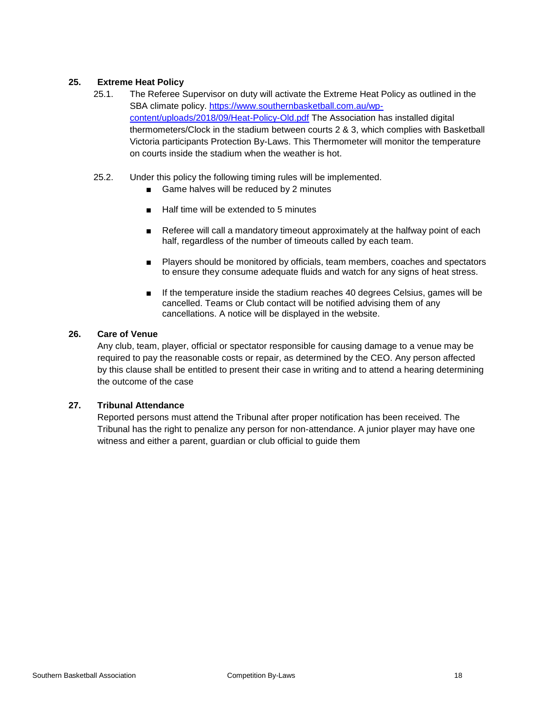# **25. Extreme Heat Policy**

- 25.1. The Referee Supervisor on duty will activate the Extreme Heat Policy as outlined in the SBA climate policy. [https://www.southernbasketball.com.au/wp](https://www.southernbasketball.com.au/wp-content/uploads/2018/09/Heat-Policy-Old.pdf)[content/uploads/2018/09/Heat-Policy-Old.pdf](https://www.southernbasketball.com.au/wp-content/uploads/2018/09/Heat-Policy-Old.pdf) The Association has installed digital thermometers/Clock in the stadium between courts 2 & 3, which complies with Basketball Victoria participants Protection By-Laws. This Thermometer will monitor the temperature on courts inside the stadium when the weather is hot.
- 25.2. Under this policy the following timing rules will be implemented.
	- Game halves will be reduced by 2 minutes
	- Half time will be extended to 5 minutes
	- Referee will call a mandatory timeout approximately at the halfway point of each half, regardless of the number of timeouts called by each team.
	- Players should be monitored by officials, team members, coaches and spectators to ensure they consume adequate fluids and watch for any signs of heat stress.
	- If the temperature inside the stadium reaches 40 degrees Celsius, games will be cancelled. Teams or Club contact will be notified advising them of any cancellations. A notice will be displayed in the website.

# **26. Care of Venue**

Any club, team, player, official or spectator responsible for causing damage to a venue may be required to pay the reasonable costs or repair, as determined by the CEO. Any person affected by this clause shall be entitled to present their case in writing and to attend a hearing determining the outcome of the case

# **27. Tribunal Attendance**

Reported persons must attend the Tribunal after proper notification has been received. The Tribunal has the right to penalize any person for non-attendance. A junior player may have one witness and either a parent, guardian or club official to guide them